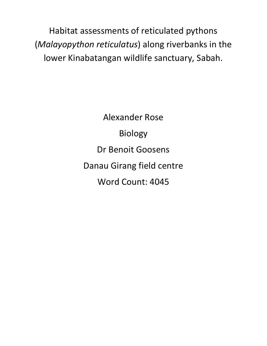Habitat assessments of reticulated pythons (*Malayopython reticulatus*) along riverbanks in the lower Kinabatangan wildlife sanctuary, Sabah.

> Alexander Rose Biology Dr Benoit Goosens Danau Girang field centre Word Count: 4045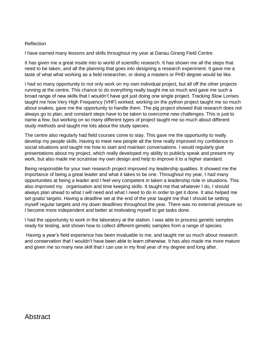## Reflection

I have earned many lessons and skills throughout my year at Danau Girang Field Centre.

It has given me a great inside into to world of scientific research. It has shown me all the steps that need to be taken, and all the planning that goes into designing a research experiment. It gave me a taste of what what working as a field researcher, or doing a masters or PHD degree would be like.

I had so many opportunity to not only work on my own individual project, but all off the other projects running at the centre. This chance to do everything really taught me so much and gave me such a broad range of new skills that I wouldn't have got just doing one single project. Tracking Slow Lorises taught me how Very High Frequency (VHF) worked, working on the python project taught me so much about snakes, gave me the opportunity to handle them. The pig project showed that research does not always go to plan, and constant steps have to be taken to overcome new challenges. This is just to name a few, but working on so many different types of project taught me so much about different study methods and taught me lots about the study species.

The centre also regularly had field courses come to stay. This gave me the opportunity to really develop my people skills. Having to meet new people all the time really improved my confidence in social situations and taught me how to start and maintain conversations. I would regularly give presentations about my project, which really developed my ability to publicly speak and present my work, but also made me scrutinise my own design and help to improve it to a higher standard.

Being responsible for your own research project improved my leadership qualities. It showed me the importance of being a great leader and what it takes to be one. Throughout my year, I had many opportunities at being a leader and I feel very competent in taken a leadership riole in situations. This also improved my organisation and time keeping skills. It taught me that whatever I do, I should always plan ahead to what I will need and what I need to do in order to get it done. It also helped me set goals/ targets. Having a deadline set at the end of the year taught me that I should be setting myself regular targets and my down deadlines throughout the year. There was no external pressure so I become more independent and better at motivating myself to get tasks done.

I had the opportunity to work in the laboratory at the station. I was able to process genetic samples ready for testing, and shown how to collect different genetic samples from a range of species.

Having a year's field experience has been invaluable to me, and taught me so much about research and conservation that I wouldn't have been able to learn otherwise. It has also made me more mature and given me so many new skill that I can use in my final year of my degree and long after.

# **Abstract**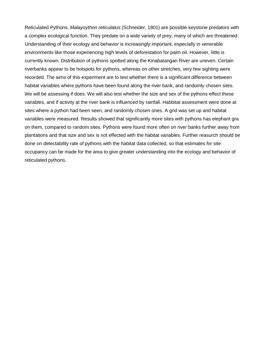Reticulated Pythons, *Malayoython reticulatus* (Schneider, 1801) are possible keystone predators with a complex ecological function. They predate on a wide variety of prey, many of which are threatened. Understanding of their ecology and behavior is increasingly important, especially in venerable environments like those experiencing high levels of deforestation for palm oil. However, little is currently known. Distribution of pythons spotted along the Kinabatangan River are uneven. Certain riverbanks appear to be hotspots for pythons, whereas on other stretches, very few sighting were recorded. The aims of this experiment are to test whether there is a significant difference between habitat variables where pythons have been found along the river bank, and randomly chosen sites. We will be assessing if does. We will also test whether the size and sex of the pythons effect these variables, and if activity at the river bank is influenced by rainfall. Habbitat assessment were done at sites where a python had been seen, and randomly chosen ones. A grid was set up and habitat variables were measured. Results showed that significantly more sites with pythons has elephant gra on them, compared to random sites. Pythons were found more often on river banks further away from plantations and that size and sex is not effected with the habitat variables. Further reasurch should be done on detectability rate of pythons with the habitat data collected, so that estimates for site occupancy can be made for the area to give greater understanding into the ecology and behavior of reticulated pythons.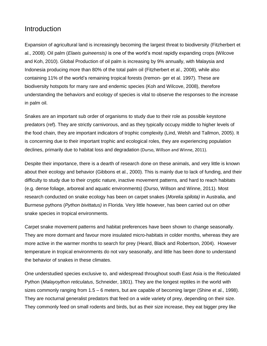# Introduction

Expansion of agricultural land is increasingly becoming the largest threat to biodiversity (Fitzherbert et al., 2008). Oil palm (*Elaeis guineensis)* is one of the world's most rapidly expanding crops (Wilcove and Koh, 2010). Global Production of oil palm is increasing by 9% annually, with Malaysia and Indonesia producing more than 80% of the total palm oil (Fitzherbert et al., 2008), while also containing 11% of the world's remaining tropical forests (Iremon- ger et al. 1997). These are biodiversity hotspots for many rare and endemic species (Koh and Wilcove, 2008), therefore understanding the behaviors and ecology of species is vital to observe the responses to the increase in palm oil.

Snakes are an important sub order of organisms to study due to their role as possible keystone predators (ref). They are strictly carnivorous, and as they typically occupy middle to higher levels of the food chain, they are important indicators of trophic complexity (Lind, Welsh and Tallmon, 2005). It is concerning due to their important trophic and ecological roles, they are experiencing population declines, primarily due to habitat loss and degradation (Durso, Willson and Winne, 2011).

Despite their importance, there is a dearth of research done on these animals, and very little is known about their ecology and behavior (Gibbons et al., 2000). This is mainly due to lack of funding, and their difficulty to study due to their cryptic nature, inactive movement patterns, and hard to reach habitats (e.g. dense foliage, arboreal and aquatic environments) (Durso, Willson and Winne, 2011). Most research conducted on snake ecology has been on carpet snakes (*Morelia spilota)* in Australia, and Burmese pythons (*Python bivittatus)* in Florida. Very little however, has been carried out on other snake species in tropical environments.

Carpet snake movement patterns and habitat preferences have been shown to change seasonally. They are more dormant and favour more insulated micro-habitats in colder months, whereas they are more active in the warmer months to search for prey (Heard, Black and Robertson, 2004). However temperature in tropical environments do not vary seasonally, and little has been done to understand the behavior of snakes in these climates.

One understudied species exclusive to, and widespread throughout south East Asia is the Reticulated Python (*Malayoython reticulatus*, [Schneider, 1801\).](https://www.itis.gov/servlet/SingleRpt/RefRpt?search_type=author&search_id=author_id&search_id_value=8179) They are the longest reptiles in the world with sizes commonly ranging from 1.5 – 6 meters, but are capable of becoming larger (Shine et al., 1998). They are nocturnal generalist predators that feed on a wide variety of prey, depending on their size. They commonly feed on small rodents and birds, but as their size increase, they eat bigger prey like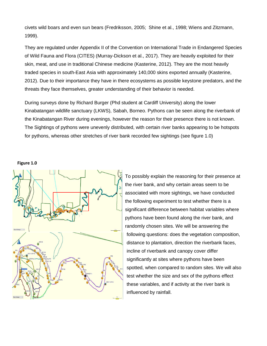civets wild boars and even sun bears (Fredriksson, 2005; Shine et al., 1998; Wiens and Zitzmann, 1999).

They are regulated under Appendix II of the Convention on International Trade in Endangered Species of Wild Fauna and Flora (CITES) (Murray-Dickson et al., 2017). They are heavily exploited for their skin, meat, and use in traditional Chinese medicine (Kasterine, 2012). They are the most heavily traded species in south-East Asia with approximately 140,000 skins exported annually (Kasterine, 2012). Due to their importance they have in there ecosystems as possible keystone predators, and the threats they face themselves, greater understanding of their behavior is needed.

During surveys done by Richard Burger (Phd student at Cardiff University) along the lower Kinabatangan wildlife sanctuary (LKWS), Sabah, Borneo. Pythons can be seen along the riverbank of the Kinabatangan River during evenings, however the reason for their presence there is not known. The Sightings of pythons were unevenly distributed, with certain river banks appearing to be hotspots for pythons, whereas other stretches of river bank recorded few sightings (see figure 1.0)

**Figure 1.0**



To possibly explain the reasoning for their presence at the river bank, and why certain areas seem to be associated with more sightings, we have conducted the following experiment to test whether there is a significant difference between habitat variables where pythons have been found along the river bank, and randomly chosen sites. We will be answering the following questions: does the vegetation composition, distance to plantation, direction the riverbank faces, incline of riverbank and canopy cover differ significantly at sites where pythons have been spotted, when compared to random sites. We will also test whether the size and sex of the pythons effect these variables, and if activity at the river bank is influenced by rainfall.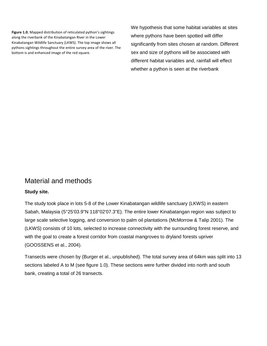**Figure 1.0.** Mapped distribution of reticulated python's sightings along the riverbank of the Kinabatangan River in the Lower Kinabatangan Wildlife Sanctuary (LKWS). The top image shows all pythons sightings throughout the entire survey area of the river. The bottom is and enhanced image of the red square.

We hypothesis that some habitat variables at sites where pythons have been spotted will differ significantly from sites chosen at random. Different sex and size of pythons will be associated with different habitat variables and, rainfall will effect whether a python is seen at the riverbank

# Material and methods

## **Study site.**

The study took place in lots 5-8 of the Lower Kinabatangan wildlife sanctuary (LKWS) in eastern Sabah, Malaysia (5°25'03.9"N 118°02'07.3"E). The entire lower Kinabatangan region was subject to large scale selective logging, and conversion to palm oil plantations (McMorrow & Talip 2001). The (LKWS) consists of 10 lots, selected to increase connectivity with the surrounding forest reserve, and with the goal to create a forest corridor from coastal mangroves to dryland forests upriver (GOOSSENS et al., 2004).

Transects were chosen by (Burger et al., unpublished). The total survey area of 64km was split into 13 sections labeled A to M (see figure 1.0). These sections were further divided into north and south bank, creating a total of 26 transects.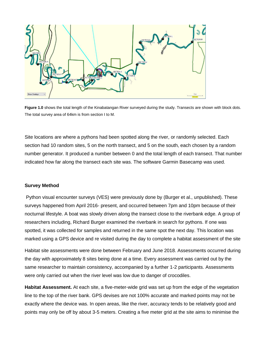

**Figure 1.0** shows the total length of the Kinabatangan River surveyed during the study. Transects are shown with block dots. The total survey area of 64km is from section I to M.

Site locations are where a pythons had been spotted along the river, or randomly selected. Each section had 10 random sites, 5 on the north transect, and 5 on the south, each chosen by a random number generator. It produced a number between 0 and the total length of each transect. That number indicated how far along the transect each site was. The software Garmin Basecamp was used.

#### **Survey Method**

Python visual encounter surveys (VES) were previously done by (Burger et al., unpublished). These surveys happened from April 2016- present, and occurred between 7pm and 10pm because of their nocturnal lifestyle. A boat was slowly driven along the transect close to the riverbank edge. A group of researchers including, Richard Burger examined the riverbank in search for pythons. If one was spotted, it was collected for samples and returned in the same spot the next day. This location was marked using a GPS device and re visited during the day to complete a habitat assessment of the site

Habitat site assessments were done between February and June 2018. Assessments occurred during the day with approximately 8 sites being done at a time. Every assessment was carried out by the same researcher to maintain consistency, accompanied by a further 1-2 participants. Assessments were only carried out when the river level was low due to danger of crocodiles.

**Habitat Assessment.** At each site, a five-meter-wide grid was set up from the edge of the vegetation line to the top of the river bank. GPS devises are not 100% accurate and marked points may not be exactly where the device was. In open areas, like the river, accuracy tends to be relatively good and points may only be off by about 3-5 meters. Creating a five meter grid at the site aims to minimise the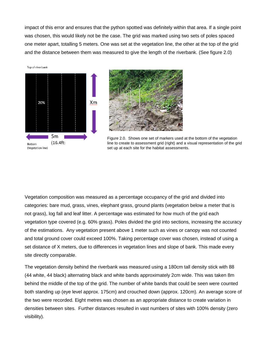impact of this error and ensures that the python spotted was definitely within that area. If a single point was chosen, this would likely not be the case. The grid was marked using two sets of poles spaced one meter apart, totalling 5 meters. One was set at the vegetation line, the other at the top of the grid and the distance between them was measured to give the length of the riverbank. (See figure 2.0)

Top of riverbank





Figure 2.0. Shows one set of markers used at the bottom of the vegetation line to create to assessment grid (right) and a visual representation of the grid set up at each site for the habitat assessments.

Vegetation composition was measured as a percentage occupancy of the grid and divided into categories: bare mud, grass, vines, elephant grass, ground plants (vegetation below a meter that is not grass), log fall and leaf litter. A percentage was estimated for how much of the grid each vegetation type covered (e.g. 60% grass). Poles divided the grid into sections, increasing the accuracy of the estimations. Any vegetation present above 1 meter such as vines or canopy was not counted and total ground cover could exceed 100%. Taking percentage cover was chosen, instead of using a set distance of X meters, due to differences in vegetation lines and slope of bank. This made every site directly comparable.

The vegetation density behind the riverbank was measured using a 180cm tall density stick with 88 (44 white, 44 black) alternating black and white bands approximately 2cm wide. This was taken 8m behind the middle of the top of the grid. The number of white bands that could be seen were counted both standing up (eye level approx. 175cm) and crouched down (approx. 120cm). An average score of the two were recorded. Eight metres was chosen as an appropriate distance to create variation in densities between sites. Further distances resulted in vast numbers of sites with 100% density (zero visibility).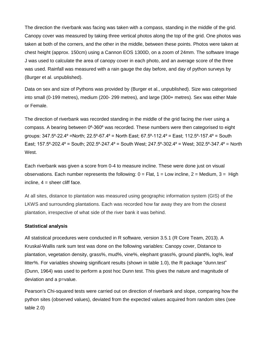The direction the riverbank was facing was taken with a compass, standing in the middle of the grid. Canopy cover was measured by taking three vertical photos along the top of the grid. One photos was taken at both of the corners, and the other in the middle, between these points. Photos were taken at chest height (approx. 150cm) using a Cannon EOS 1300D, on a zoom of 24mm. The software Image J was used to calculate the area of canopy cover in each photo, and an average score of the three was used. Rainfall was measured with a rain gauge the day before, and day of python surveys by (Burger et al. unpublished).

Data on sex and size of Pythons was provided by (Burger et al., unpublished). Size was categorised into small (0-199 metres), medium (200- 299 metres), and large (300+ metres). Sex was either Male or Female.

The direction of riverbank was recorded standing in the middle of the grid facing the river using a compass. A bearing between 0°-360° was recorded. These numbers were then categorised to eight groups:  $347.5^{\circ}$ -22.4 $^{\circ}$  =North; 22.5 $^{\circ}$ -67.4 $^{\circ}$  = North East; 67.5 $^{\circ}$ -112.4 $^{\circ}$  = East; 112.5 $^{\circ}$ -157.4 $^{\circ}$  = South East; 157.5 $9$ -202.4 $9$  = South; 202.5 $9$ -247.4 $9$  = South West; 247.5 $9$ -302.4 $9$  = West; 302.5 $9$ -347.4 $9$  = North West.

Each riverbank was given a score from 0-4 to measure incline. These were done just on visual observations. Each number represents the following:  $0 =$  Flat,  $1 =$  Low incline,  $2 =$  Medium,  $3 =$  High incline,  $4 =$  sheer cliff face.

At all sites, distance to plantation was measured using geographic information system (GIS) of the LKWS and surrounding plantations. Each was recorded how far away they are from the closest plantation, irrespective of what side of the river bank it was behind.

#### **Statistical analysis**

All statistical procedures were conducted in R software, version 3.5.1 (R Core Team, 2013). A Kruskal-Wallis rank sum test was done on the following variables: Canopy cover, Distance to plantation, vegetation density, grass%, mud%, vine%, elephant grass%, ground plant%, log%, leaf litter%. For variables showing significant results (shown in table 1.0), the R package "dunn.test" (Dunn, 1964) was used to perform a post hoc Dunn test. This gives the nature and magnitude of deviation and a p=value.

Pearson's Chi-squared tests were carried out on direction of riverbank and slope, comparing how the python sites (observed values), deviated from the expected values acquired from random sites (see table 2.0)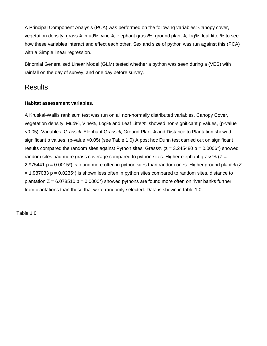A Principal Component Analysis (PCA) was performed on the following variables: Canopy cover, vegetation density, grass%, mud%, vine%, elephant grass%, ground plant%, log%, leaf litter% to see how these variables interact and effect each other. Sex and size of python was run against this (PCA) with a Simple linear regression.

Binomial Generalised Linear Model (GLM) tested whether a python was seen during a (VES) with rainfall on the day of survey, and one day before survey.

# **Results**

## **Habitat assessment variables.**

A Kruskal-Wallis rank sum test was run on all non-normally distributed variables. Canopy Cover, vegetation density, Mud%, Vine%, Log% and Leaf Litter% showed non-significant p values, (p-value <0.05). Variables: Grass%. Elephant Grass%, Ground Plant% and Distance to Plantation showed significant p values, (p-value >0.05) (see Table 1.0) A post hoc Dunn test carried out on significant results compared the random sites against Python sites. Grass% ( $z = 3.245480$  p = 0.0006\*) showed random sites had more grass coverage compared to python sites. Higher elephant grass%  $(Z = -1)$ 2.975441  $p = 0.0015^*$ ) is found more often in python sites than random ones. Higher ground plant% (Z  $= 1.987033$  p = 0.0235<sup>\*</sup>) is shown less often in python sites compared to random sites. distance to plantation  $Z = 6.078510 \text{ p} = 0.0000^*$  showed pythons are found more often on river banks further from plantations than those that were randomly selected. Data is shown in table 1.0.

Table 1.0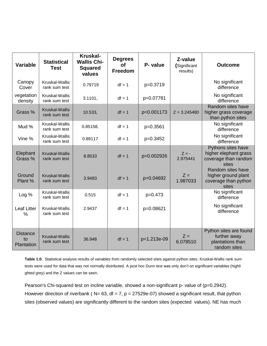| <b>Variable</b>                     | <b>Statistical</b><br><b>Test</b>      | <b>Kruskal-</b><br><b>Wallis Chi-</b><br><b>Squared</b><br>values | <b>Degrees</b><br><b>of</b><br>Freedom | P- value    | Z-value<br>(Significant<br>results) | <b>Outcome</b>                                                               |
|-------------------------------------|----------------------------------------|-------------------------------------------------------------------|----------------------------------------|-------------|-------------------------------------|------------------------------------------------------------------------------|
| Canopy<br>Cover                     | Kruskal-Wallis<br>rank sum test        | 0.79719                                                           | $df = 1$                               | p=0.3719    |                                     | No significant<br>difference                                                 |
| vegetation<br>density               | Kruskal-Wallis<br>rank sum test        | 3.1101,                                                           | $df = 1$                               | p=0.07781   |                                     | No significant<br>difference                                                 |
| Grass %                             | <b>Kruskal-Wallis</b><br>rank sum test | 10.533,                                                           | $df = 1$                               | p=0.001173  | $Z = 3.245480$                      | Random sites have<br>higher grass coverage<br>than python sites              |
| Mud %                               | Kruskal-Wallis<br>rank sum test        | 0.85158,                                                          | $df = 1$                               | p=0.3561    |                                     | No significant<br>difference                                                 |
| Vine %                              | Kruskal-Wallis<br>rank sum test        | 0.89117                                                           | $df = 1$                               | p=0.3452    |                                     | No significant<br>difference                                                 |
| Elephant<br>Grass %                 | <b>Kruskal-Wallis</b><br>rank sum test | 8.8533                                                            | $df = 1$                               | p=0.002926  | $Z = -$<br>2.975441                 | Pythons sites have<br>higher elephant grass<br>coverage than random<br>sites |
| Ground<br>Plant %                   | <b>Kruskal-Wallis</b><br>rank sum test | 3.9483                                                            | $df = 1$                               | p=0.04692   | $Z =$<br>1.987033                   | Random sites have<br>higher ground plant<br>coverage than python<br>sites    |
| Log %                               | Kruskal-Wallis<br>rank sum test        | 0.515                                                             | $df = 1$                               | $p=0.473$   |                                     | No significant<br>difference                                                 |
| <b>Leaf Litter</b><br>$\%$          | Kruskal-Wallis<br>rank sum test        | 2.9437                                                            | $df = 1$                               | p=0.08621   |                                     | No significant<br>difference                                                 |
| <b>Distance</b><br>to<br>Plantation | Kruskal-Wallis<br>rank sum test        | 36.948                                                            | $df = 1$                               | p=1.213e-09 | $Z =$<br>6.078510                   | Python sites are found<br>further away<br>plantations than<br>random sites   |

**Table 1.0.** Statistical analysis results of variables from randomly selected sites against python sites. Kruskal-Wallis rank sum tests were used for data that was not normally distributed. A post hoc Dunn test was only don't on significant variables (highli ghted grey) and the Z values can be seen.

Pearson's Chi-squared test on incline variable, showed a non-significant p- value of (p=0.2942). However direction of riverbank ( $N= 63$ , df = 7, p = 27529e-07) showed a significant result, that python sites (observed values) are significantly different to the random sites (expected values). NE has much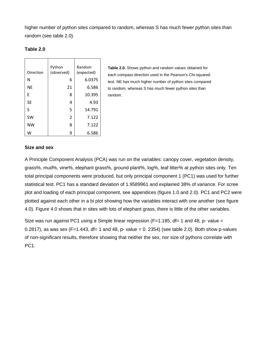higher number of python sites compared to random, whereas S has much fewer python sites than random (see table 2.0).

### **Table 2.0**

|           | Python         | Random     |
|-----------|----------------|------------|
| Direction | (observed)     | (expected) |
| N         | 6              | 6.0375     |
| <b>NE</b> | 21             | 6.586      |
| F         | 8              | 10.395     |
| <b>SE</b> | 4              | 4.93       |
| S         | 5              | 14.791     |
| <b>SW</b> | $\overline{2}$ | 7.122      |
| <b>NW</b> | 8              | 7.122      |
| w         | 9              | 6.586      |

**Table 2.0.** Shows python and random values obtained for each compass direction used in the Pearson's Chi-squared test. NE has much higher number of python sites compared to random, whereas S has much fewer python sites than random.

#### **Size and sex**

A Principle Component Analysis (PCA) was run on the variables: canopy cover, vegetation density, grass%, mud%, vine%, elephant grass%, ground plant%, log%, leaf litter% at python sites only. Ten total principal components were produced, but only principal component 1 (PC1) was used for further statistical test. PC1 has a standard deviation of 1.9589961 and explained 38% of variance. For scree plot and loading of each principal component, see appendices (figure 1.0 and 2.0). PC1 and PC2 were plotted against each other in a bi plot showing how the variables interact with one another (see figure 4.0). Figure 4.0 shows that in sites with lots of elephant grass, there is little of the other variables.

Size was run against PC1 using a Simple linear regression ( $F=1.185$ , df= 1 and 48, p- value = 0.2817), as was sex (F=1.443, df= 1 and 48, p- value = 0. 2354) (see table 2.0). Both show p-values of non-significant results, therefore showing that neither the sex, nor size of pythons correlate with PC<sub>1</sub>.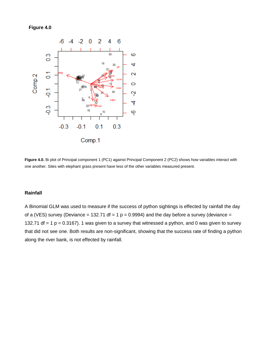## **Figure 4.0**



**Figure 4.0.** Bi plot of Principal component 1 (PC1) against Principal Component 2 (PC2) shows how variables interact with one another. Sites with elephant grass present have less of the other variables measured present.

## **Rainfall**

A Binomial GLM was used to measure if the success of python sightings is effected by rainfall the day of a (VES) survey (Deviance = 132.71 df = 1  $p = 0.9994$ ) and the day before a survey (deviance = 132.71 df = 1  $p = 0.3167$ ). 1 was given to a survey that witnessed a python, and 0 was given to survey that did not see one. Both results are non-significant, showing that the success rate of finding a python along the river bank, is not effected by rainfall.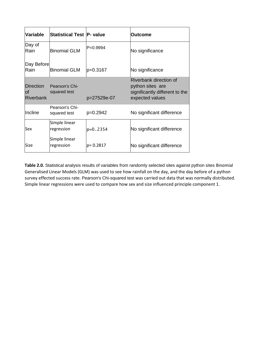| Variable                             | Statistical Test P- value      |              | <b>Outcome</b>                                                                                  |
|--------------------------------------|--------------------------------|--------------|-------------------------------------------------------------------------------------------------|
| Day of<br>Rain                       | <b>Binomial GLM</b>            | IP=0.9994    | No significance                                                                                 |
| Day Before<br>Rain                   | <b>Binomial GLM</b>            | p=0.3167     | No significance                                                                                 |
| <b>Direction</b><br>lof<br>Riverbank | Pearson's Chi-<br>squared test | p=27529e-07  | Riverbank direction of<br>python sites are<br>significantly different to the<br>expected values |
| Incline                              | Pearson's Chi-<br>squared test | $p=0.2942$   | No significant difference                                                                       |
| Sex                                  | Simple linear<br>regression    | $ p=0.2354 $ | No significant difference                                                                       |
| Size                                 | Simple linear<br>regression    | lp= 0.2817   | No significant difference                                                                       |

**Table 2.0.** Statistical analysis results of variables from randomly selected sites against python sites Binomial Generalised Linear Models (GLM) was used to see how rainfall on the day, and the day before of a python survey effected success rate. Pearson's Chi-squared test was carried out data that was normally distributed. Simple linear regressions were used to compare how sex and size influenced principle component 1.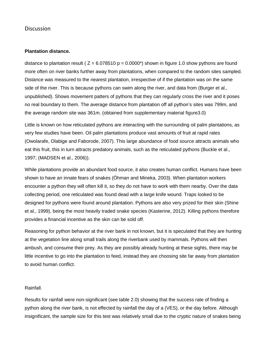## **Discussion**

### **Plantation distance.**

distance to plantation result ( $Z = 6.078510 p = 0.0000^*$ ) shown in figure 1.0 show pythons are found more often on river banks further away from plantations, when compared to the random sites sampled. Distance was measured to the nearest plantation, irrespective of if the plantation was on the same side of the river. This is because pythons can swim along the river, and data from (Burger et al., unpublished). Shows movement patters of pythons that they can regularly cross the river and it poses no real boundary to them. The average distance from plantation off all python's sites was 799m, and the average random site was 361m. (obtained from supplementary material figure3.0)

Little is known on how reticulated pythons are interacting with the surrounding oil palm plantations, as very few studies have been. Oil palm plantations produce vast amounts of fruit at rapid rates (Owolarafe, Olabige and Faborode, 2007). This large abundance of food source attracts animals who eat this fruit, this in turn attracts predatory animals, such as the reticulated pythons (Buckle et al., 1997; (MADSEN et al., 2006)).

While plantations provide an abundant food source, it also creates human conflict. Humans have been shown to have an innate fears of snakes (Öhman and Mineka, 2003). When plantation workers encounter a python they will often kill it, so they do not have to work with them nearby. Over the data collecting period, one reticulated was found dead with a large knife wound. Traps looked to be designed for pythons were found around plantation. Pythons are also very prized for their skin (Shine et al., 1999), being the most heavily traded snake species (Kasterine, 2012). Killing pythons therefore provides a financial incentive as the skin can be sold off.

Reasoning for python behavior at the river bank in not known, but it is speculated that they are hunting at the vegetation line along small trails along the riverbank used by mammals. Pythons will then ambush, and consume their prey. As they are possibly already hunting at these sights, there may be little incentive to go into the plantation to feed, instead they are choosing site far away from plantation to avoid human conflict.

#### Rainfall.

Results for rainfall were non-significant (see table 2.0) showing that the success rate of finding a python along the river bank, is not effected by rainfall the day of a (VES), or the day before. Although insignificant, the sample size for this test was relatively small due to the cryptic nature of snakes being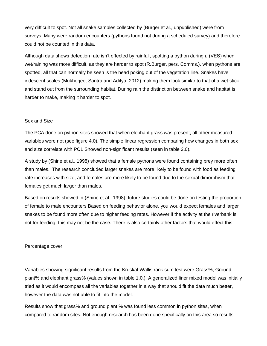very difficult to spot. Not all snake samples collected by (Burger et al., unpublished) were from surveys. Many were random encounters (pythons found not during a scheduled survey) and therefore could not be counted in this data.

Although data shows detection rate isn't effected by rainfall, spotting a python during a (VES) when wet/raining was more difficult, as they are harder to spot (R.Burger, pers. Comms.). when pythons are spotted, all that can normally be seen is the head poking out of the vegetation line. Snakes have iridescent scales (Mukherjee, Santra and Aditya, 2012) making them look similar to that of a wet stick and stand out from the surrounding habitat. During rain the distinction between snake and habitat is harder to make, making it harder to spot.

#### Sex and Size

The PCA done on python sites showed that when elephant grass was present, all other measured variables were not (see figure 4.0). The simple linear regression comparing how changes in both sex and size correlate with PC1 Showed non-significant results (seen in table 2.0).

A study by (Shine et al., 1998) showed that a female pythons were found containing prey more often than males. The research concluded larger snakes are more likely to be found with food as feeding rate increases with size, and females are more likely to be found due to the sexual dimorphism that females get much larger than males.

Based on results showed in (Shine et al., 1998), future studies could be done on testing the proportion of female to male encounters Based on feeding behavior alone, you would expect females and larger snakes to be found more often due to higher feeding rates. However if the activity at the riverbank is not for feeding, this may not be the case. There is also certainly other factors that would effect this.

#### Percentage cover

Variables showing significant results from the Kruskal-Wallis rank sum test were Grass%, Ground plant% and elephant grass% (values shown in table 1.0.). A generalized liner mixed model was initially tried as it would encompass all the variables together in a way that should fit the data much better, however the data was not able to fit into the model.

Results show that grass% and ground plant % was found less common in python sites, when compared to random sites. Not enough research has been done specifically on this area so results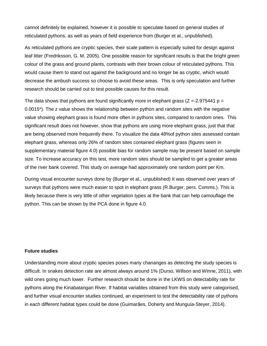cannot definitely be explained, however it is possible to speculate based on general studies of reticulated pythons, as well as years of field experience from (Burger et al., unpublished).

As reticulated pythons are cryptic species, their scale pattern is especially suited for design against leaf litter (Fredriksson, G. M. 2005). One possible reason for significant results is that the bright green colour of the grass and ground plants, contrasts with their brown colour of reticulated pythons. This would cause them to stand out against the background and no longer be as cryptic, which would decrease the ambush success so choose to avoid these areas. This is only speculation and further research should be carried out to test possible causes for this result.

The data shows that pythons are found significantly more in elephant grass ( $Z = -2.975441 p =$ 0.0015\*). The z value shows the relationship between python and random sites with the negative value showing elephant grass is found more often in pythons sites, compared to random ones. This significant result does not however, show that pythons are using more elephant grass, just that that are being observed more frequently there. To visualize the data 48%of python sites assessed contain elephant grass, whereas only 26% of random sites contained elephant grass (figures seen in supplementary material figure 4.0) possible bias for random sample may be present based on sample size. To increase accuracy on this test, more random sites should be sampled to get a greater areas of the river bank covered. This study on average had approximately one random point per Km.

During visual encounter surveys done by (Burger et al., unpublished) It was observed over years of surveys that pythons were much easier to spot in elephant grass (R.Burger, pers. Comms.). This is likely because there is very little of other vegetation types at the bank that can help camouflage the python. This can be shown by the PCA done in figure 4.0.

## **Future studies**

Understanding more about cryptic species poses many chananges as detecting the study species is difficult. In snakes detection rate are almost always around 1% (Durso, Willson and Winne, 2011), with wild ones going much lower. Further research should be done in the LKWS on detectability rate for pythons along the Kinabatangan River. If habitat variables obtained from this study were categorised, and further visual encounter studies continued, an experiment to test the detectability rate of pythons in each different habitat types could be done (Guimarães, Doherty and Munguía-Steyer, 2014).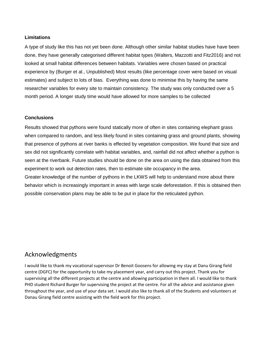## **Limitations**

A type of study like this has not yet been done. Although other similar habitat studies have have been done, they have generally categorised different habitat types (Walters, Mazzotti and Fitz2016) and not looked at small habitat differences between habitats. Variables were chosen based on practical experience by (Burger et al., Unpublished) Most results (like percentage cover were based on visual estimates) and subject to lots of bias. Everything was done to minimise this by having the same researcher variables for every site to maintain consistency. The study was only conducted over a 5 month period. A longer study time would have allowed for more samples to be collected

## **Conclusions**

Results showed that pythons were found statically more of often in sites containing elephant grass when compared to random, and less likely found in sites containing grass and ground plants, showing that presence of pythons at river banks is effected by vegetation composition. We found that size and sex did not significantly correlate with habitat variables, and, rainfall did not affect whether a python is seen at the riverbank. Future studies should be done on the area on using the data obtained from this experiment to work out detection rates, then to estimate site occupancy in the area. Greater knowledge of the number of pythons in the LKWS will help to understand more about there behavior which is increasingly important in areas with large scale deforestation. If this is obtained then

possible conservation plans may be able to be put in place for the reticulated python.

# Acknowledgments

I would like to thank my vocational supervisor Dr Benoit Goosens for allowing my stay at Danu Girang field centre (DGFC) for the opportunity to take my placement year, and carry out this project. Thank you for supervising all the different projects at the centre and allowing participation in them all. I would like to thank PHD student Richard Burger for supervising the project at the centre. For all the advice and assistance given throughout the year, and use of your data set. I would also like to thank all of the Students and volunteers at Danau Girang field centre assisting with the field work for this project.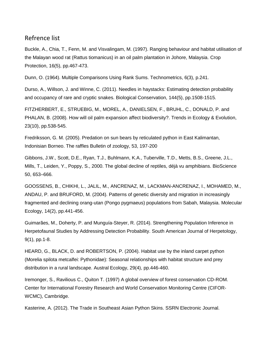## Refrence list

Buckle, A., Chia, T., Fenn, M. and Visvalingam, M. (1997). Ranging behaviour and habitat utilisation of the Malayan wood rat (Rattus tiomanicus) in an oil palm plantation in Johore, Malaysia. Crop Protection, 16(5), pp.467-473.

Dunn, O. (1964). Multiple Comparisons Using Rank Sums. Technometrics, 6(3), p.241.

Durso, A., Willson, J. and Winne, C. (2011). Needles in haystacks: Estimating detection probability and occupancy of rare and cryptic snakes. Biological Conservation, 144(5), pp.1508-1515.

FITZHERBERT, E., STRUEBIG, M., MOREL, A., DANIELSEN, F., BRUHL, C., DONALD, P. and PHALAN, B. (2008). How will oil palm expansion affect biodiversity?. Trends in Ecology & Evolution, 23(10), pp.538-545.

Fredriksson, G. M. (2005). Predation on sun bears by reticulated python in East Kalimantan, Indonisian Borneo. The raffles Bulletin of zoology, 53, 197-200

Gibbons, J.W., Scott, D.E., Ryan, T.J., Buhlmann, K.A., Tuberville, T.D., Metts, B.S., Greene, J.L., Mills, T., Leiden, Y., Poppy, S., 2000. The global decline of reptiles, déjà vu amphibians. BioScience 50, 653–666.

GOOSSENS, B., CHIKHI, L., JALIL, M., ANCRENAZ, M., LACKMAN-ANCRENAZ, I., MOHAMED, M., ANDAU, P. and BRUFORD, M. (2004). Patterns of genetic diversity and migration in increasingly fragmented and declining orang-utan (Pongo pygmaeus) populations from Sabah, Malaysia. Molecular Ecology, 14(2), pp.441-456.

Guimarães, M., Doherty, P. and Munguía-Steyer, R. (2014). Strengthening Population Inference in Herpetofaunal Studies by Addressing Detection Probability. South American Journal of Herpetology, 9(1), pp.1-8.

HEARD, G., BLACK, D. and ROBERTSON, P. (2004). Habitat use by the inland carpet python (Morelia spilota metcalfei: Pythonidae): Seasonal relationships with habitat structure and prey distribution in a rural landscape. Austral Ecology, 29(4), pp.446-460.

Iremonger, S., Ravilious C., Quiton T. (1997) A global overview of forest conservation CD-ROM. Center for International Forestry Research and World Conservation Monitoring Centre (CIFOR-WCMC), Cambridge.

Kasterine, A. (2012). The Trade in Southeast Asian Python Skins. SSRN Electronic Journal.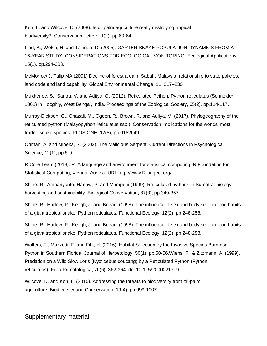Koh, L. and Wilcove, D. (2008). Is oil palm agriculture really destroying tropical biodiversity?. Conservation Letters, 1(2), pp.60-64.

Lind, A., Welsh, H. and Tallmon, D. (2005). GARTER SNAKE POPULATION DYNAMICS FROM A 16-YEAR STUDY: CONSIDERATIONS FOR ECOLOGICAL MONITORING. Ecological Applications, 15(1), pp.294-303.

McMorrow J, Talip MA (2001) Decline of forest area in Sabah, Malaysia: relationship to state policies, land code and land capability. Global Environmental Change, 11, 217–230.

Mukherjee, S., Santra, V. and Aditya, G. (2012). Reticulated Python, Python reticulatus (Schneider, 1801) in Hooghly, West Bengal, India. Proceedings of the Zoological Society, 65(2), pp.114-117.

Murray-Dickson, G., Ghazali, M., Ogden, R., Brown, R. and Auliya, M. (2017). Phylogeography of the reticulated python (Malayopython reticulatus ssp.): Conservation implications for the worlds' most traded snake species. PLOS ONE, 12(8), p.e0182049.

Öhman, A. and Mineka, S. (2003). The Malicious Serpent. Current Directions in Psychological Science, 12(1), pp.5-9.

R Core Team (2013). R: A language and environment for statistical computing. R Foundation for Statistical Computing, Vienna, Austria. URL http://www.R-project.org/.

Shine, R., Ambariyanto, Harlow, P. and Mumpuni (1999). Reticulated pythons in Sumatra: biology, harvesting and sustainability. Biological Conservation, 87(3), pp.349-357.

Shine, R., Harlow, P., Keogh, J. and Boeadi (1998). The influence of sex and body size on food habits of a giant tropical snake, Python reticulatus. Functional Ecology, 12(2), pp.248-258.

Shine, R., Harlow, P., Keogh, J. and Boeadi (1998). The influence of sex and body size on food habits of a giant tropical snake, Python reticulatus. Functional Ecology, 12(2), pp.248-258.

Walters, T., Mazzotti, F. and Fitz, H. (2016). Habitat Selection by the Invasive Species Burmese Python in Southern Florida. Journal of Herpetology, 50(1), pp.50-56.Wiens, F., & Zitzmann, A. (1999). Predation on a Wild Slow Loris (Nycticebus coucang) by a Reticulated Python (Python reticulatus). Folia Primatologica, 70(6), 362-364. doi:10.1159/000021719

Wilcove, D. and Koh, L. (2010). Addressing the threats to biodiversity from oil-palm agriculture. Biodiversity and Conservation, 19(4), pp.999-1007.

## Supplementary material